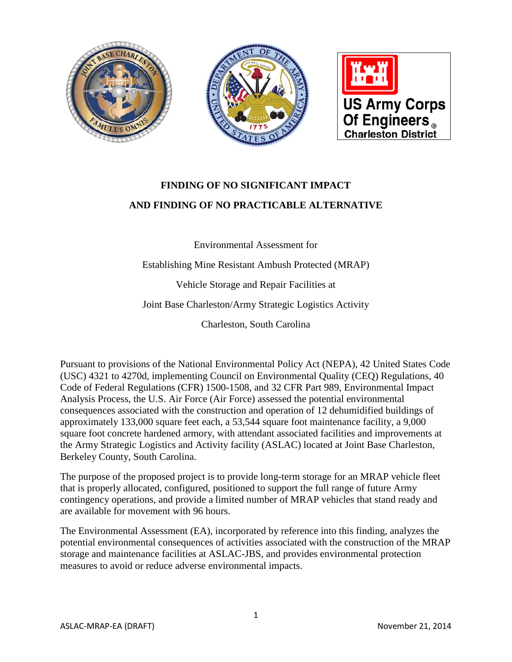

# **FINDING OF NO SIGNIFICANT IMPACT AND FINDING OF NO PRACTICABLE ALTERNATIVE**

Environmental Assessment for

Establishing Mine Resistant Ambush Protected (MRAP)

Vehicle Storage and Repair Facilities at

Joint Base Charleston/Army Strategic Logistics Activity

Charleston, South Carolina

Pursuant to provisions of the National Environmental Policy Act (NEPA), 42 United States Code (USC) 4321 to 4270d, implementing Council on Environmental Quality (CEQ) Regulations, 40 Code of Federal Regulations (CFR) 1500-1508, and 32 CFR Part 989, Environmental Impact Analysis Process, the U.S. Air Force (Air Force) assessed the potential environmental consequences associated with the construction and operation of 12 dehumidified buildings of approximately 133,000 square feet each, a 53,544 square foot maintenance facility, a 9,000 square foot concrete hardened armory, with attendant associated facilities and improvements at the Army Strategic Logistics and Activity facility (ASLAC) located at Joint Base Charleston, Berkeley County, South Carolina.

The purpose of the proposed project is to provide long-term storage for an MRAP vehicle fleet that is properly allocated, configured, positioned to support the full range of future Army contingency operations, and provide a limited number of MRAP vehicles that stand ready and are available for movement with 96 hours.

The Environmental Assessment (EA), incorporated by reference into this finding, analyzes the potential environmental consequences of activities associated with the construction of the MRAP storage and maintenance facilities at ASLAC-JBS, and provides environmental protection measures to avoid or reduce adverse environmental impacts.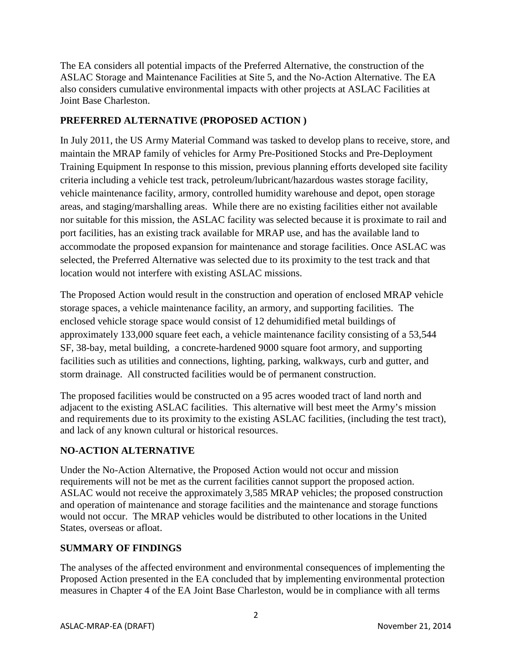The EA considers all potential impacts of the Preferred Alternative, the construction of the ASLAC Storage and Maintenance Facilities at Site 5, and the No-Action Alternative. The EA also considers cumulative environmental impacts with other projects at ASLAC Facilities at Joint Base Charleston.

#### **PREFERRED ALTERNATIVE (PROPOSED ACTION )**

In July 2011, the US Army Material Command was tasked to develop plans to receive, store, and maintain the MRAP family of vehicles for Army Pre-Positioned Stocks and Pre-Deployment Training Equipment In response to this mission, previous planning efforts developed site facility criteria including a vehicle test track, petroleum/lubricant/hazardous wastes storage facility, vehicle maintenance facility, armory, controlled humidity warehouse and depot, open storage areas, and staging/marshalling areas. While there are no existing facilities either not available nor suitable for this mission, the ASLAC facility was selected because it is proximate to rail and port facilities, has an existing track available for MRAP use, and has the available land to accommodate the proposed expansion for maintenance and storage facilities. Once ASLAC was selected, the Preferred Alternative was selected due to its proximity to the test track and that location would not interfere with existing ASLAC missions.

The Proposed Action would result in the construction and operation of enclosed MRAP vehicle storage spaces, a vehicle maintenance facility, an armory, and supporting facilities. The enclosed vehicle storage space would consist of 12 dehumidified metal buildings of approximately 133,000 square feet each, a vehicle maintenance facility consisting of a 53,544 SF, 38-bay, metal building, a concrete-hardened 9000 square foot armory, and supporting facilities such as utilities and connections, lighting, parking, walkways, curb and gutter, and storm drainage. All constructed facilities would be of permanent construction.

The proposed facilities would be constructed on a 95 acres wooded tract of land north and adjacent to the existing ASLAC facilities. This alternative will best meet the Army's mission and requirements due to its proximity to the existing ASLAC facilities, (including the test tract), and lack of any known cultural or historical resources.

## **NO-ACTION ALTERNATIVE**

Under the No-Action Alternative, the Proposed Action would not occur and mission requirements will not be met as the current facilities cannot support the proposed action. ASLAC would not receive the approximately 3,585 MRAP vehicles; the proposed construction and operation of maintenance and storage facilities and the maintenance and storage functions would not occur. The MRAP vehicles would be distributed to other locations in the United States, overseas or afloat.

### **SUMMARY OF FINDINGS**

The analyses of the affected environment and environmental consequences of implementing the Proposed Action presented in the EA concluded that by implementing environmental protection measures in Chapter 4 of the EA Joint Base Charleston, would be in compliance with all terms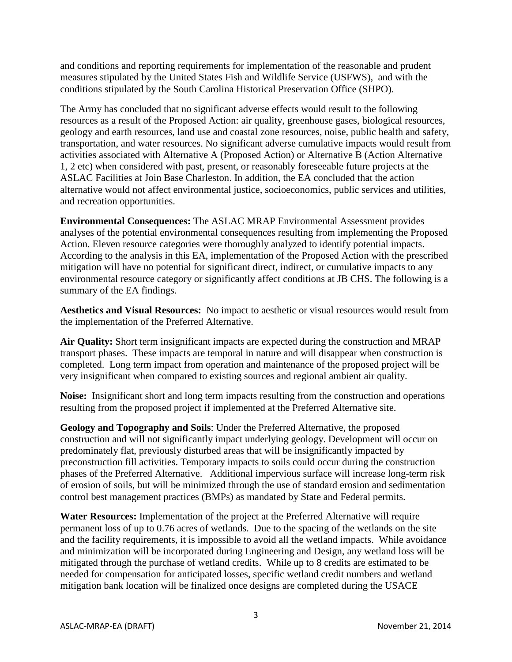and conditions and reporting requirements for implementation of the reasonable and prudent measures stipulated by the United States Fish and Wildlife Service (USFWS), and with the conditions stipulated by the South Carolina Historical Preservation Office (SHPO).

The Army has concluded that no significant adverse effects would result to the following resources as a result of the Proposed Action: air quality, greenhouse gases, biological resources, geology and earth resources, land use and coastal zone resources, noise, public health and safety, transportation, and water resources. No significant adverse cumulative impacts would result from activities associated with Alternative A (Proposed Action) or Alternative B (Action Alternative 1, 2 etc) when considered with past, present, or reasonably foreseeable future projects at the ASLAC Facilities at Join Base Charleston. In addition, the EA concluded that the action alternative would not affect environmental justice, socioeconomics, public services and utilities, and recreation opportunities.

**Environmental Consequences:** The ASLAC MRAP Environmental Assessment provides analyses of the potential environmental consequences resulting from implementing the Proposed Action. Eleven resource categories were thoroughly analyzed to identify potential impacts. According to the analysis in this EA, implementation of the Proposed Action with the prescribed mitigation will have no potential for significant direct, indirect, or cumulative impacts to any environmental resource category or significantly affect conditions at JB CHS. The following is a summary of the EA findings.

**Aesthetics and Visual Resources:** No impact to aesthetic or visual resources would result from the implementation of the Preferred Alternative.

**Air Quality:** Short term insignificant impacts are expected during the construction and MRAP transport phases. These impacts are temporal in nature and will disappear when construction is completed. Long term impact from operation and maintenance of the proposed project will be very insignificant when compared to existing sources and regional ambient air quality.

**Noise:** Insignificant short and long term impacts resulting from the construction and operations resulting from the proposed project if implemented at the Preferred Alternative site.

**Geology and Topography and Soils**: Under the Preferred Alternative, the proposed construction and will not significantly impact underlying geology. Development will occur on predominately flat, previously disturbed areas that will be insignificantly impacted by preconstruction fill activities. Temporary impacts to soils could occur during the construction phases of the Preferred Alternative. Additional impervious surface will increase long-term risk of erosion of soils, but will be minimized through the use of standard erosion and sedimentation control best management practices (BMPs) as mandated by State and Federal permits.

**Water Resources:** Implementation of the project at the Preferred Alternative will require permanent loss of up to 0.76 acres of wetlands. Due to the spacing of the wetlands on the site and the facility requirements, it is impossible to avoid all the wetland impacts. While avoidance and minimization will be incorporated during Engineering and Design, any wetland loss will be mitigated through the purchase of wetland credits. While up to 8 credits are estimated to be needed for compensation for anticipated losses, specific wetland credit numbers and wetland mitigation bank location will be finalized once designs are completed during the USACE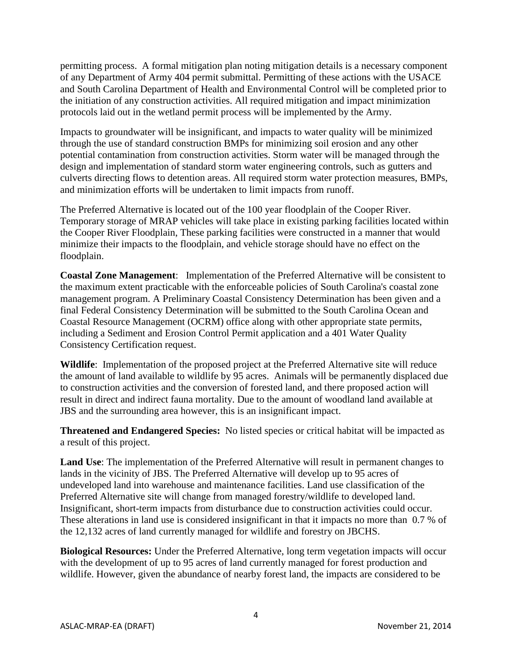permitting process. A formal mitigation plan noting mitigation details is a necessary component of any Department of Army 404 permit submittal. Permitting of these actions with the USACE and South Carolina Department of Health and Environmental Control will be completed prior to the initiation of any construction activities. All required mitigation and impact minimization protocols laid out in the wetland permit process will be implemented by the Army.

Impacts to groundwater will be insignificant, and impacts to water quality will be minimized through the use of standard construction BMPs for minimizing soil erosion and any other potential contamination from construction activities. Storm water will be managed through the design and implementation of standard storm water engineering controls, such as gutters and culverts directing flows to detention areas. All required storm water protection measures, BMPs, and minimization efforts will be undertaken to limit impacts from runoff.

The Preferred Alternative is located out of the 100 year floodplain of the Cooper River. Temporary storage of MRAP vehicles will take place in existing parking facilities located within the Cooper River Floodplain, These parking facilities were constructed in a manner that would minimize their impacts to the floodplain, and vehicle storage should have no effect on the floodplain.

**Coastal Zone Management**: Implementation of the Preferred Alternative will be consistent to the maximum extent practicable with the enforceable policies of South Carolina's coastal zone management program. A Preliminary Coastal Consistency Determination has been given and a final Federal Consistency Determination will be submitted to the South Carolina Ocean and Coastal Resource Management (OCRM) office along with other appropriate state permits, including a Sediment and Erosion Control Permit application and a 401 Water Quality Consistency Certification request.

**Wildlife**: Implementation of the proposed project at the Preferred Alternative site will reduce the amount of land available to wildlife by 95 acres. Animals will be permanently displaced due to construction activities and the conversion of forested land, and there proposed action will result in direct and indirect fauna mortality. Due to the amount of woodland land available at JBS and the surrounding area however, this is an insignificant impact.

**Threatened and Endangered Species:** No listed species or critical habitat will be impacted as a result of this project.

**Land Use**: The implementation of the Preferred Alternative will result in permanent changes to lands in the vicinity of JBS. The Preferred Alternative will develop up to 95 acres of undeveloped land into warehouse and maintenance facilities. Land use classification of the Preferred Alternative site will change from managed forestry/wildlife to developed land. Insignificant, short-term impacts from disturbance due to construction activities could occur. These alterations in land use is considered insignificant in that it impacts no more than 0.7 % of the 12,132 acres of land currently managed for wildlife and forestry on JBCHS.

**Biological Resources:** Under the Preferred Alternative, long term vegetation impacts will occur with the development of up to 95 acres of land currently managed for forest production and wildlife. However, given the abundance of nearby forest land, the impacts are considered to be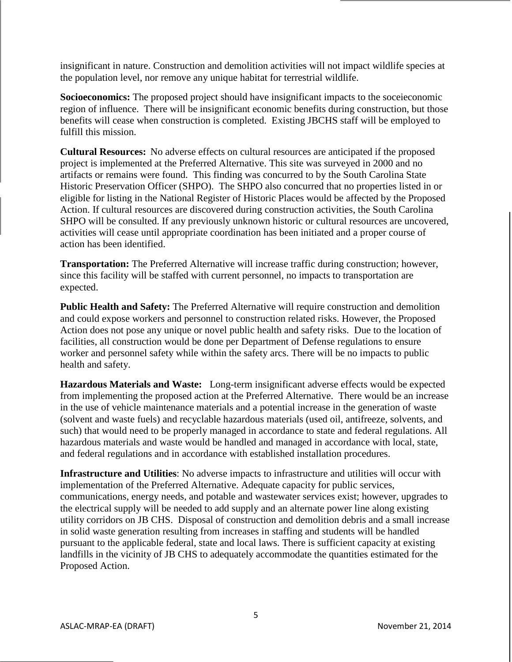insignificant in nature. Construction and demolition activities will not impact wildlife species at the population level, nor remove any unique habitat for terrestrial wildlife.

**Socioeconomics:** The proposed project should have insignificant impacts to the soceieconomic region of influence. There will be insignificant economic benefits during construction, but those benefits will cease when construction is completed. Existing JBCHS staff will be employed to fulfill this mission.

**Cultural Resources:** No adverse effects on cultural resources are anticipated if the proposed project is implemented at the Preferred Alternative. This site was surveyed in 2000 and no artifacts or remains were found. This finding was concurred to by the South Carolina State Historic Preservation Officer (SHPO). The SHPO also concurred that no properties listed in or eligible for listing in the National Register of Historic Places would be affected by the Proposed Action. If cultural resources are discovered during construction activities, the South Carolina SHPO will be consulted. If any previously unknown historic or cultural resources are uncovered, activities will cease until appropriate coordination has been initiated and a proper course of action has been identified.

**Transportation:** The Preferred Alternative will increase traffic during construction; however, since this facility will be staffed with current personnel, no impacts to transportation are expected.

**Public Health and Safety:** The Preferred Alternative will require construction and demolition and could expose workers and personnel to construction related risks. However, the Proposed Action does not pose any unique or novel public health and safety risks. Due to the location of facilities, all construction would be done per Department of Defense regulations to ensure worker and personnel safety while within the safety arcs. There will be no impacts to public health and safety.

**Hazardous Materials and Waste:** Long-term insignificant adverse effects would be expected from implementing the proposed action at the Preferred Alternative. There would be an increase in the use of vehicle maintenance materials and a potential increase in the generation of waste (solvent and waste fuels) and recyclable hazardous materials (used oil, antifreeze, solvents, and such) that would need to be properly managed in accordance to state and federal regulations. All hazardous materials and waste would be handled and managed in accordance with local, state, and federal regulations and in accordance with established installation procedures.

**Infrastructure and Utilities**: No adverse impacts to infrastructure and utilities will occur with implementation of the Preferred Alternative. Adequate capacity for public services, communications, energy needs, and potable and wastewater services exist; however, upgrades to the electrical supply will be needed to add supply and an alternate power line along existing utility corridors on JB CHS. Disposal of construction and demolition debris and a small increase in solid waste generation resulting from increases in staffing and students will be handled pursuant to the applicable federal, state and local laws. There is sufficient capacity at existing landfills in the vicinity of JB CHS to adequately accommodate the quantities estimated for the Proposed Action.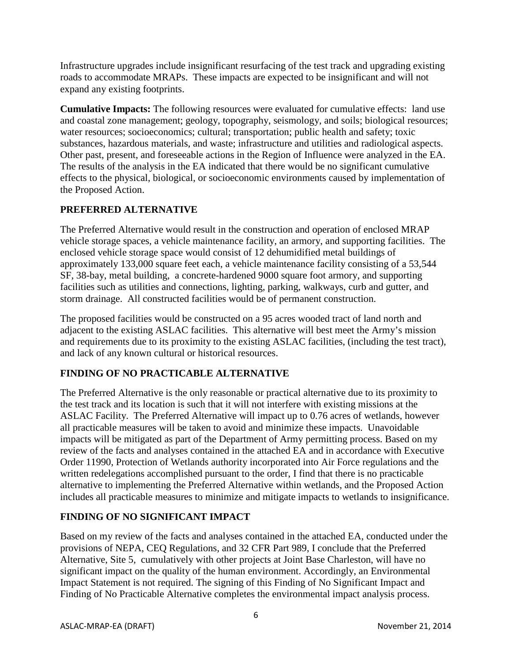Infrastructure upgrades include insignificant resurfacing of the test track and upgrading existing roads to accommodate MRAPs. These impacts are expected to be insignificant and will not expand any existing footprints.

**Cumulative Impacts:** The following resources were evaluated for cumulative effects: land use and coastal zone management; geology, topography, seismology, and soils; biological resources; water resources; socioeconomics; cultural; transportation; public health and safety; toxic substances, hazardous materials, and waste; infrastructure and utilities and radiological aspects. Other past, present, and foreseeable actions in the Region of Influence were analyzed in the EA. The results of the analysis in the EA indicated that there would be no significant cumulative effects to the physical, biological, or socioeconomic environments caused by implementation of the Proposed Action.

### **PREFERRED ALTERNATIVE**

The Preferred Alternative would result in the construction and operation of enclosed MRAP vehicle storage spaces, a vehicle maintenance facility, an armory, and supporting facilities. The enclosed vehicle storage space would consist of 12 dehumidified metal buildings of approximately 133,000 square feet each, a vehicle maintenance facility consisting of a 53,544 SF, 38-bay, metal building, a concrete-hardened 9000 square foot armory, and supporting facilities such as utilities and connections, lighting, parking, walkways, curb and gutter, and storm drainage. All constructed facilities would be of permanent construction.

The proposed facilities would be constructed on a 95 acres wooded tract of land north and adjacent to the existing ASLAC facilities. This alternative will best meet the Army's mission and requirements due to its proximity to the existing ASLAC facilities, (including the test tract), and lack of any known cultural or historical resources.

### **FINDING OF NO PRACTICABLE ALTERNATIVE**

The Preferred Alternative is the only reasonable or practical alternative due to its proximity to the test track and its location is such that it will not interfere with existing missions at the ASLAC Facility. The Preferred Alternative will impact up to 0.76 acres of wetlands, however all practicable measures will be taken to avoid and minimize these impacts. Unavoidable impacts will be mitigated as part of the Department of Army permitting process. Based on my review of the facts and analyses contained in the attached EA and in accordance with Executive Order 11990, Protection of Wetlands authority incorporated into Air Force regulations and the written redelegations accomplished pursuant to the order, I find that there is no practicable alternative to implementing the Preferred Alternative within wetlands, and the Proposed Action includes all practicable measures to minimize and mitigate impacts to wetlands to insignificance.

## **FINDING OF NO SIGNIFICANT IMPACT**

Based on my review of the facts and analyses contained in the attached EA, conducted under the provisions of NEPA, CEQ Regulations, and 32 CFR Part 989, I conclude that the Preferred Alternative, Site 5, cumulatively with other projects at Joint Base Charleston, will have no significant impact on the quality of the human environment. Accordingly, an Environmental Impact Statement is not required. The signing of this Finding of No Significant Impact and Finding of No Practicable Alternative completes the environmental impact analysis process.